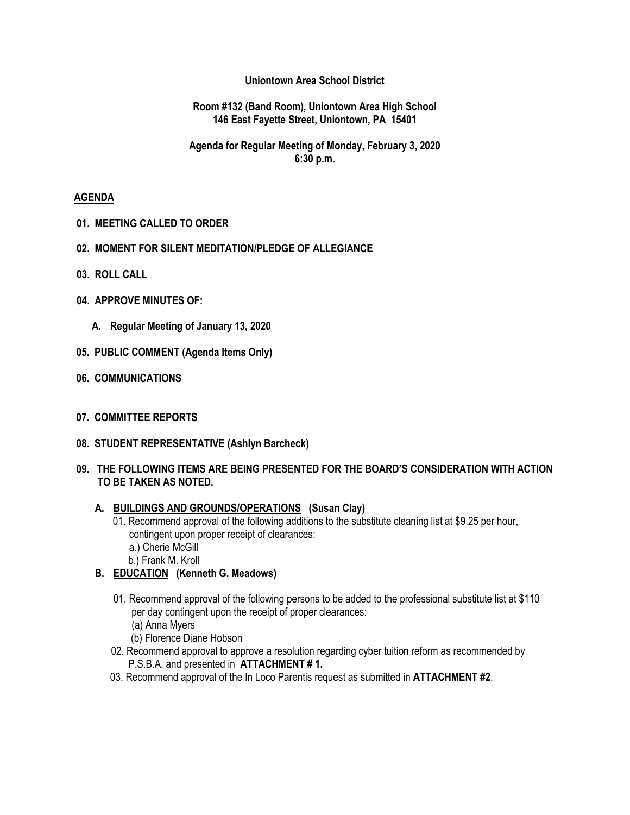## **Uniontown Area School District**

#### **Room #132 (Band Room), Uniontown Area High School 146 East Fayette Street, Uniontown, PA 15401**

## **Agenda for Regular Meeting of Monday, February 3, 2020 6:30 p.m.**

### **AGENDA**

- **01. MEETING CALLED TO ORDER**
- **02. MOMENT FOR SILENT MEDITATION/PLEDGE OF ALLEGIANCE**
- **03. ROLL CALL**
- **04. APPROVE MINUTES OF:**
	- **A. Regular Meeting of January 13, 2020**
- **05. PUBLIC COMMENT (Agenda Items Only)**
- **06. COMMUNICATIONS**
- **07. COMMITTEE REPORTS**
- **08. STUDENT REPRESENTATIVE (Ashlyn Barcheck)**
- **09. THE FOLLOWING ITEMS ARE BEING PRESENTED FOR THE BOARD'S CONSIDERATION WITH ACTION TO BE TAKEN AS NOTED.**

### **A. BUILDINGS AND GROUNDS/OPERATIONS (Susan Clay)**

- 01. Recommend approval of the following additions to the substitute cleaning list at \$9.25 per hour, contingent upon proper receipt of clearances:
	- a.) Cherie McGill
	- b.) Frank M. Kroll
- **B. EDUCATION (Kenneth G. Meadows)**
	- 01. Recommend approval of the following persons to be added to the professional substitute list at \$110 per day contingent upon the receipt of proper clearances:
		- (a) Anna Myers
		- (b) Florence Diane Hobson
	- 02. Recommend approval to approve a resolution regarding cyber tuition reform as recommended by P.S.B.A. and presented in **ATTACHMENT # 1.**
	- 03. Recommend approval of the In Loco Parentis request as submitted in **ATTACHMENT #2**.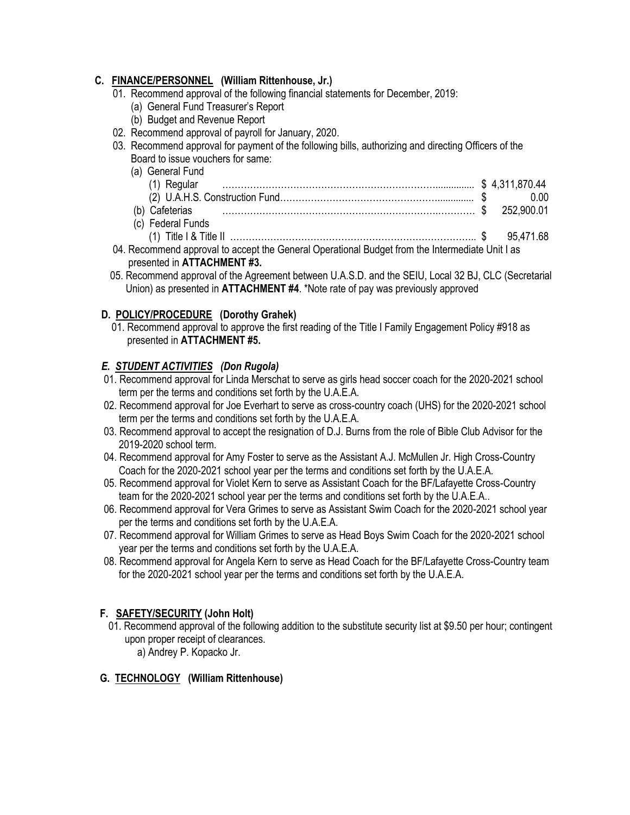## **C. FINANCE/PERSONNEL (William Rittenhouse, Jr.)**

- 01. Recommend approval of the following financial statements for December, 2019:
	- (a) General Fund Treasurer's Report
	- (b) Budget and Revenue Report
- 02. Recommend approval of payroll for January, 2020.
- 03. Recommend approval for payment of the following bills, authorizing and directing Officers of the Board to issue vouchers for same:
- (a) General Fund (1) Regular ……………………………………………………………............... \$ 4,311,870.44 (2) U.A.H.S. Construction Fund…………………………………………….............. \$ 0.00 (b) Cafeterias …………………………………………………………….………… \$ 252,900.01 (c) Federal Funds (1) Title I & Title II …………………………………………………………………….. \$ 95,471.68 04. Recommend approval to accept the General Operational Budget from the Intermediate Unit I as
- presented in **ATTACHMENT #3.**
- 05. Recommend approval of the Agreement between U.A.S.D. and the SEIU, Local 32 BJ, CLC (Secretarial Union) as presented in **ATTACHMENT #4**. \*Note rate of pay was previously approved

## **D. POLICY/PROCEDURE (Dorothy Grahek)**

01. Recommend approval to approve the first reading of the Title I Family Engagement Policy #918 as presented in **ATTACHMENT #5.**

## *E. STUDENT ACTIVITIES (Don Rugola)*

- 01. Recommend approval for Linda Merschat to serve as girls head soccer coach for the 2020-2021 school term per the terms and conditions set forth by the U.A.E.A.
- 02. Recommend approval for Joe Everhart to serve as cross-country coach (UHS) for the 2020-2021 school term per the terms and conditions set forth by the U.A.E.A.
- 03. Recommend approval to accept the resignation of D.J. Burns from the role of Bible Club Advisor for the 2019-2020 school term.
- 04. Recommend approval for Amy Foster to serve as the Assistant A.J. McMullen Jr. High Cross-Country Coach for the 2020-2021 school year per the terms and conditions set forth by the U.A.E.A.
- 05. Recommend approval for Violet Kern to serve as Assistant Coach for the BF/Lafayette Cross-Country team for the 2020-2021 school year per the terms and conditions set forth by the U.A.E.A..
- 06. Recommend approval for Vera Grimes to serve as Assistant Swim Coach for the 2020-2021 school year per the terms and conditions set forth by the U.A.E.A.
- 07. Recommend approval for William Grimes to serve as Head Boys Swim Coach for the 2020-2021 school year per the terms and conditions set forth by the U.A.E.A.
- 08. Recommend approval for Angela Kern to serve as Head Coach for the BF/Lafayette Cross-Country team for the 2020-2021 school year per the terms and conditions set forth by the U.A.E.A.

## **F. SAFETY/SECURITY (John Holt)**

01. Recommend approval of the following addition to the substitute security list at \$9.50 per hour; contingent upon proper receipt of clearances. a) Andrey P. Kopacko Jr.

# **G. TECHNOLOGY (William Rittenhouse)**